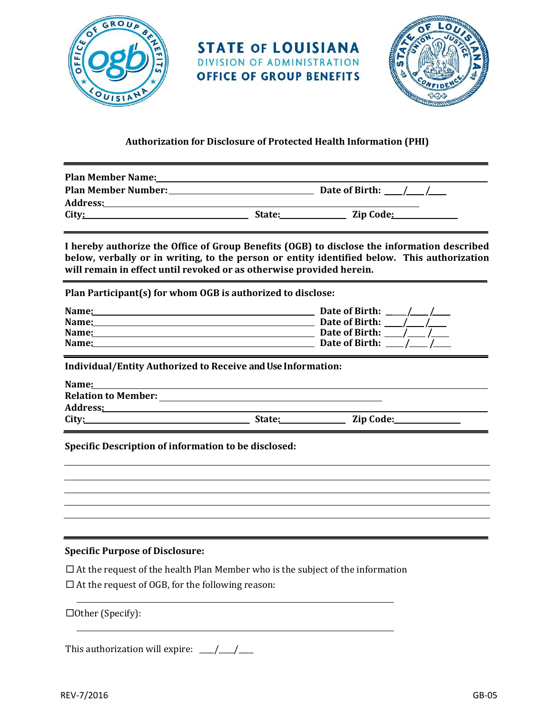

**STATE OF LOUISIANA** DIVISION OF ADMINISTRATION **OFFICE OF GROUP BENEFITS** 



## **Authorization for Disclosure of Protected Health Information (PHI)**

| <b>Plan Member Name:</b>   |        |                |
|----------------------------|--------|----------------|
| <b>Plan Member Number:</b> |        | Date of Birth: |
| <b>Address:</b>            |        |                |
| City:                      | State: | Zip Code:      |

**I hereby authorize the Office of Group Benefits (OGB) to disclose the information described below, verbally or in writing, to the person or entity identified below. This authorization will remain in effect until revoked or as otherwise provided herein.**

**Plan Participant(s) for whom OGB is authorized to disclose:**

| Name: | Date of Birth: |
|-------|----------------|
| Name: | Date of Birth: |
| Name: | Date of Birth: |
| Name: | Date of Birth: |

**Individual/Entity Authorized to Receive and Use Information:**

| Name:                      |        |           |
|----------------------------|--------|-----------|
| <b>Relation to Member:</b> |        |           |
| Address:                   |        |           |
| City:                      | State: | Zip Code: |
|                            |        |           |

**Specific Description of information to be disclosed:**

### **Specific Purpose of Disclosure:**

 $\Box$  At the request of the health Plan Member who is the subject of the information

 $\square$  At the request of OGB, for the following reason:

 $\Box$ Other (Specify):

This authorization will expire:  $\frac{1}{2}$   $\frac{1}{2}$